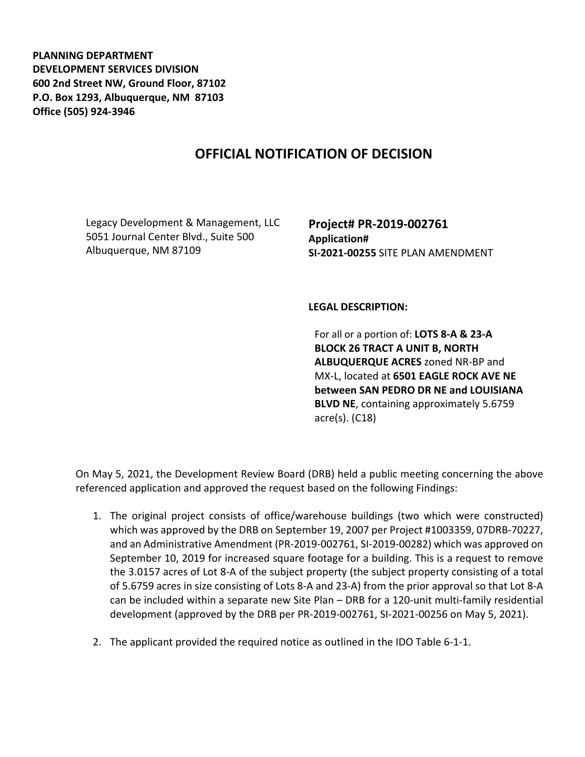**PLANNING DEPARTMENT DEVELOPMENT SERVICES DIVISION 600 2nd Street NW, Ground Floor, 87102 P.O. Box 1293, Albuquerque, NM 87103 Office (505) 924-3946** 

## **OFFICIAL NOTIFICATION OF DECISION**

Legacy Development & Management, LLC 5051 Journal Center Blvd., Suite 500 Albuquerque, NM 87109

**Project# PR-2019-002761 Application# SI-2021-00255** SITE PLAN AMENDMENT

## **LEGAL DESCRIPTION:**

For all or a portion of: **LOTS 8-A & 23-A BLOCK 26 TRACT A UNIT B, NORTH ALBUQUERQUE ACRES** zoned NR-BP and MX-L, located at **6501 EAGLE ROCK AVE NE between SAN PEDRO DR NE and LOUISIANA BLVD NE**, containing approximately 5.6759 acre(s). (C18)

On May 5, 2021, the Development Review Board (DRB) held a public meeting concerning the above referenced application and approved the request based on the following Findings:

- 1. The original project consists of office/warehouse buildings (two which were constructed) which was approved by the DRB on September 19, 2007 per Project #1003359, 07DRB-70227, and an Administrative Amendment (PR-2019-002761, SI-2019-00282) which was approved on September 10, 2019 for increased square footage for a building. This is a request to remove the 3.0157 acres of Lot 8-A of the subject property (the subject property consisting of a total of 5.6759 acres in size consisting of Lots 8-A and 23-A) from the prior approval so that Lot 8-A can be included within a separate new Site Plan – DRB for a 120-unit multi-family residential development (approved by the DRB per PR-2019-002761, SI-2021-00256 on May 5, 2021).
- 2. The applicant provided the required notice as outlined in the IDO Table 6-1-1.